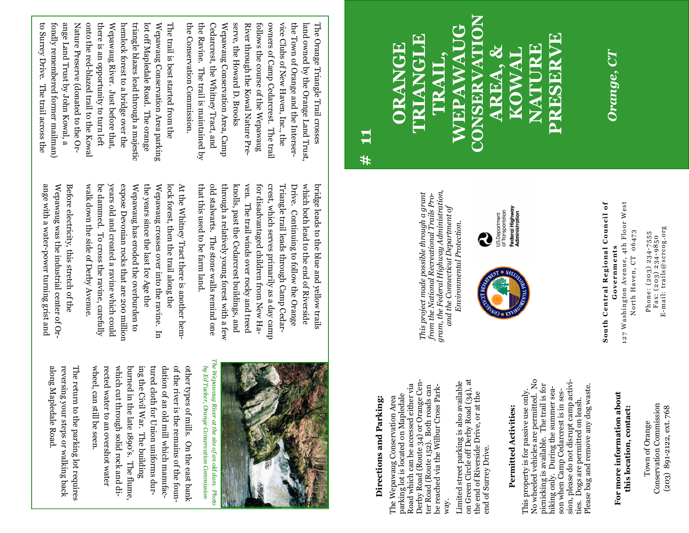E-mail: trails@scrcog.org

**CONSERVATION**  WEPAWAUG **PRESERVE TRIANGLE**  F TRIANGLE **ORANGE NATURE**  PRESERV **TRAIL, AREA, & KOW CONSER** EPA

*Orange, CT*  Orange, CT

**# 11** 

**South Central Regional Council of**  127 Washington Avenue, 4th Floor West South Central Regional Council of Governments **Governments** 

127 Washington Avenue, 4th Floor West North Haven, CT 06473 North Haven, CT 06473

Phone: (203) 234-7555<br>Fax: (203) 234-9850<br>E-mail: trails@scrcog.org Phone: (203) 234-7555 Fax: (203) 234-9850

Federal Highway<br>Administration US.Department<br>of Transportation



This project made possible through a grant<br>from the National Recreational Trails Pro-<br>gram, the Federal Highway Administration, *gram, the Federal Highway Administration, This project made possible through a grant from the National Recreational Trails Pro*and the Connecticut Department of *and the Connecticut Department of Environmental Protection.*Environmental Protection

æ

## **Directions and Parking:**  Directions and Parking:

Derby Road (Route 34) or Orange Center<br> Road (Route 152). Both roads can Derby Road (Route 34) or Orange Cen-Road which can be accessed either via Road which can be accessed either via ter Road (Route 152). Both roads can be reached via the Wilbur Cross Parkbe reached via the Wilbur Cross Parkparking lot is located on Mapledale parking lot is located on Mapledale The Wepawaug Conservation Area The Wepawaug Conservation Area way.

on Green Circle off Derby Road (34), at<br>the end of Riverside Drive, or at the on Green Circle off Derby Road (34), at Limited street parking is also available Limited street parking is also available the end of Riverside Drive, or at the end of Surrey Drive. end of Surrey Drive.

## **Permitted Activities:**  Permitted Activities:

No wheeled vehicles are permitted. No No wheeled vehicles are permitted. No sion, please do not disrupt camp activision, please do not disrupt camp activipicnicking is available. The trail is for picnicking is available. The trail is for Please bag and remove any dog waste. Please bag and remove any dog waste. hiking only. During the summer seahiking only. During the summer sea-This property is for passive use only. This property is for passive use only. son when Camp Cedarcrest is in sesson when Camp Cedarcrest is in sesties. Dogs are permitted on leash. Dogs are permitted on leash. ties.

## **For more information about**  For more information about **this location, contact:**  this location, contact:

Conservation Commission Conservation Commission (203) 891-2122, ext. 768 (203) 891-2122, ext. 768 Town of Orange Town of Orange

crest, which serves primarily as a day camp that this used to be farm land. that this used to be farm land. old stalwarts. The stone walls remind one through a relatively young forest with a few through a relatively young forest with a few knolls, past the Cedarcrest buildings, and knolls, past the Cedarcrest buildings, and ven. The trail winds over rocky and treed ven. The trail winds over rocky and treed for disadvantaged children from New Hafor disadvantaged children from New Ha-Triangle trail leads through Camp Cedar-Triangle trail leads through Camp Cedar-Drive. Continuing to follow the Orange which both lead to the end of Riverside which both lead to the end of Riverside bridge leads to the blue and yellow trails bridge leads to the blue and yellow trails old stalwarts. The stone walls remind one crest, which serves primarily as a day camp Drive. Continuing to follow the Orange

walk down the side of Derby Avenue. walk down the side of Derby Avenue. be dammed. To cross the ravine, carefully be dammed. To cross the ravine, carefully years old and created a ravine which could years old and created a ravine which could expose Devonian rocks that are 200 million Wepawaug has eroded the overburden to Wepawaug has eroded the overburden to the years since the last Ice Age the the years since the last Ice Age the Wepawaug crosses over into the ravine. In Wepawaug crosses over into the ravine. In lock forest, then the trail along the lock forest, then the trail along the At the Whitney Tract there is another hem-At the Whitney Tract there is another hemexpose Devonian rocks that are 200 million

triangle blazes lead through a majestic

lot off Mapledale Road. The orange Wepawaug Conservation Area parking The trail is best started from the

ange with a water-power turning grist and Wepawaug was the industrial center of Or-Wepawaug was the industrial center of Or-Before electricity, this stretch of the ange with a water-power turning grist and Before electricity, this stretch of the

to Surrey Drive. The trail across the fondly remembered former mailman) ange Land Trust by John Kowal, a Nature Preserve (donated to the Oronto the red-blazed trail to the Kowal there is an opportunity to turn left Wepawaug River. Just before that, hemlock forest to a bridge over the triangle blazes lead through a majestic lot off Mapledale Road. The orange Wepawaug Conservation Area parking The trail is best started from the

to Surrey Drive. The trail across the fondly remembered former mailman) ange Land Trust by John Kowal, a Nature Preserve (donated to the Oronto the red-blazed trail to the Kowal there is an opportunity to turn left Wepawaug River. Just before that, hemlock forest to a bridge over the



by Ed Tucker, Orange Conservation Commission *by Ed Tucker, Orange Conservation Commission* 

the Conservation Commission. the Ravine. The trail is maintained by Cedarcrest, the Whitney Tract, and Wepawaug Conservation Area, Camp

the Ravine. The trail is maintained by Cedarcrest, the Whitney Tract, and Wepawaug Conservation Area, Camp

the Conservation Commission.

serve, the Howard D. Brooks

serve, the Howard D. Brooks

River through the Kowal Nature Prefollows the course of the Wepawaug owners of Camp Cedarcrest. The trail vice Clubs of New Haven, Inc., the the Town of Orange and the Interserland owned by the Orange Land Trust, The Orange Triangle Trail crosses

River through the Kowal Nature Prefollows the course of the Wepawaug owners of Camp Cedarcrest. The trail vice Clubs of New Haven, Inc., the the Town of Orange and the Interserland owned by the Orange Land Trust, The Orange Triangle Trail crosses

wheel, can still be seen. wheel, can still be seen. rected water to an overshot water which cut through solid rock and diwhich cut through solid rock and diburned in the late 1890's. The flume, burned in the late 1890's. The flume, ing the Civil War. The building tured cloth for Union uniforms durtured cloth for Union uniforms durdation of an old mill which manufacof the river is the remains of the founother types of mills. On the east bank rected water to an overshot water ing the Civil War. The building dation of an old mill which manufacof the river is the remains of the founother types of mills. On the east bank

along Mapledale Road reversing your steps or walking back The return to the parking lot requires The return to the parking lot requires along Mapledale Road. reversing your steps or walking back